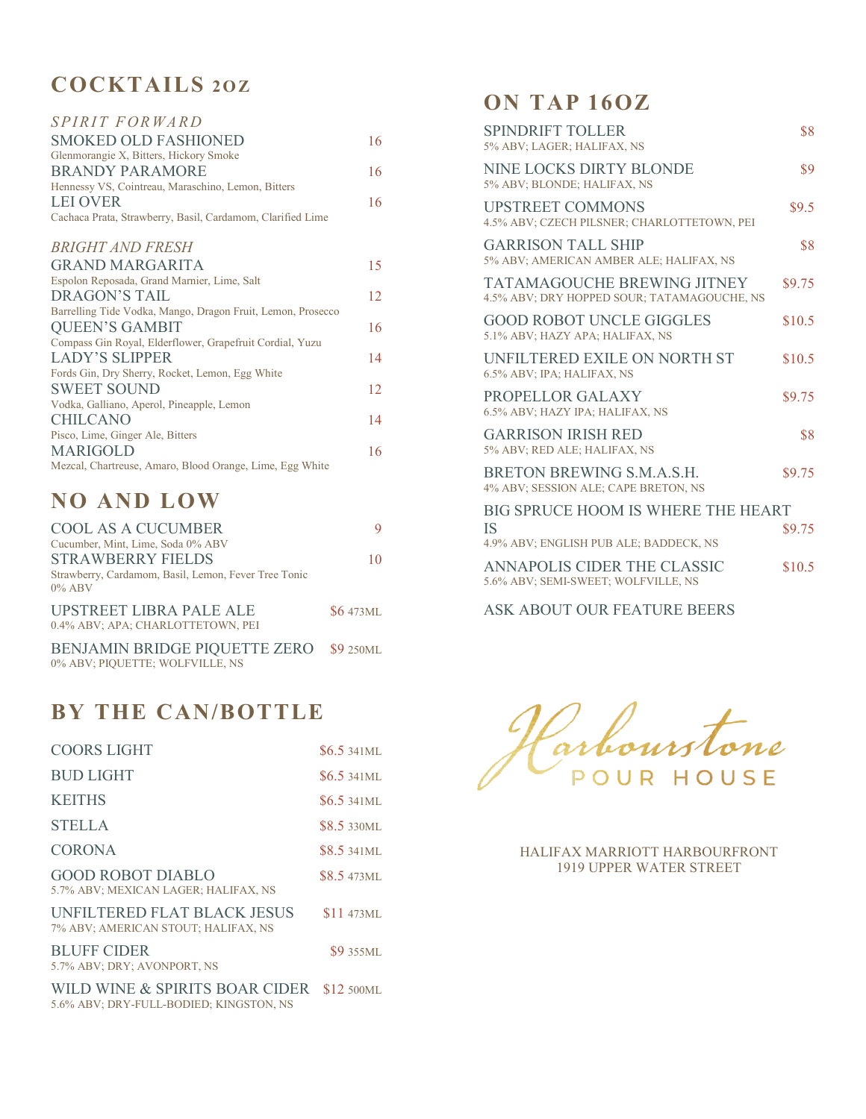### **COCKTAILS 2O Z**

| <i>SPIRIT FORWARD</i>                                       |    |
|-------------------------------------------------------------|----|
| <b>SMOKED OLD FASHIONED</b>                                 | 16 |
| Glenmorangie X, Bitters, Hickory Smoke                      |    |
| <b>BRANDY PARAMORE</b>                                      | 16 |
| Hennessy VS, Cointreau, Maraschino, Lemon, Bitters          |    |
| <b>LEI OVER</b>                                             | 16 |
| Cachaca Prata, Strawberry, Basil, Cardamom, Clarified Lime  |    |
| <b>BRIGHT AND FRESH</b>                                     |    |
| <b>GRAND MARGARITA</b>                                      | 15 |
| Espolon Reposada, Grand Marnier, Lime, Salt                 |    |
| DRAGON'S TAIL                                               | 12 |
| Barrelling Tide Vodka, Mango, Dragon Fruit, Lemon, Prosecco |    |
| <b>QUEEN'S GAMBIT</b>                                       | 16 |
| Compass Gin Royal, Elderflower, Grapefruit Cordial, Yuzu    |    |
| LADY'S SLIPPER                                              | 14 |
| Fords Gin, Dry Sherry, Rocket, Lemon, Egg White             |    |
| <b>SWEET SOUND</b>                                          | 12 |
| Vodka, Galliano, Aperol, Pineapple, Lemon                   |    |
| <b>CHILCANO</b>                                             | 14 |
| Pisco, Lime, Ginger Ale, Bitters                            |    |
| <b>MARIGOLD</b>                                             | 16 |
| Mezcal, Chartreuse, Amaro, Blood Orange, Lime, Egg White    |    |

#### **NO AND LOW**

| <b>COOL AS A CUCUMBER</b>                                                  |                  |
|----------------------------------------------------------------------------|------------------|
| Cucumber, Mint, Lime, Soda 0% ABV                                          |                  |
| <b>STRAWBERRY FIELDS</b>                                                   | 10               |
| Strawberry, Cardamom, Basil, Lemon, Fever Tree Tonic<br>$0\%$ ABV          |                  |
| <b>UPSTREET LIBRA PALE ALE</b><br>0.4% ABV; APA; CHARLOTTETOWN, PEI        | <b>\$6</b> 473ML |
| BENJAMIN BRIDGE PIQUETTE ZERO \$9 250ML<br>0% ABV; PIOUETTE; WOLFVILLE, NS |                  |

### **BY THE CAN/BOTTLE**

| <b>COORS LIGHT</b>                                                        | $$6.5\,341$ ML     |
|---------------------------------------------------------------------------|--------------------|
| <b>BUD LIGHT</b>                                                          | $$6.5\,341$ ML     |
| <b>KEITHS</b>                                                             | $$6.5\,341$ ML     |
| <b>STELLA</b>                                                             | <b>\$8.5</b> 330ML |
| <b>CORONA</b>                                                             | $$8.5341$ ML       |
| <b>GOOD ROBOT DIABLO</b><br>5.7% ABV; MEXICAN LAGER; HALIFAX, NS          | <b>\$8.5 473ML</b> |
| UNFILTERED FLAT BLACK JESUS<br>7% ABV; AMERICAN STOUT; HALIFAX, NS        | <b>\$11 473ML</b>  |
| <b>BLUFF CIDER</b><br>5.7% ABV; DRY; AVONPORT, NS                         | <b>\$9</b> 355ML   |
| WILD WINE & SPIRITS BOAR CIDER<br>5.6% ABV; DRY-FULL-BODIED; KINGSTON, NS | \$12 500ML         |

#### **ON TAP 16OZ**

| SPINDRIFT TOLLER<br>5% ABV; LAGER; HALIFAX, NS                                    | \$8    |
|-----------------------------------------------------------------------------------|--------|
| NINE LOCKS DIRTY BLONDE<br>5% ABV; BLONDE; HALIFAX, NS                            | \$9    |
| <b>UPSTREET COMMONS</b><br>4.5% ABV; CZECH PILSNER; CHARLOTTETOWN, PEI            | \$9.5  |
| <b>GARRISON TALL SHIP</b><br>5% ABV; AMERICAN AMBER ALE; HALIFAX, NS              | \$8    |
| <b>TATAMAGOUCHE BREWING JITNEY</b><br>4.5% ABV; DRY HOPPED SOUR; TATAMAGOUCHE, NS | \$9.75 |
| <b>GOOD ROBOT UNCLE GIGGLES</b><br>5.1% ABV; HAZY APA; HALIFAX, NS                | \$10.5 |
| UNFILTERED EXILE ON NORTH ST<br>6.5% ABV; IPA; HALIFAX, NS                        | \$10.5 |
| PROPELLOR GALAXY<br>6.5% ABV; HAZY IPA; HALIFAX, NS                               | \$9.75 |
| <b>GARRISON IRISH RED</b><br>5% ABV: RED ALE: HALIFAX, NS                         | \$8    |
| BRETON BREWING S.M.A.S.H.<br>4% ABV; SESSION ALE; CAPE BRETON, NS                 | \$9.75 |
| <b>BIG SPRUCE HOOM IS WHERE THE HEART</b>                                         |        |
| <b>IS</b><br>4.9% ABV; ENGLISH PUB ALE; BADDECK, NS                               | \$9.75 |
| <b>ANNAPOLIS CIDER THE CLASSIC</b><br>5.6% ABV; SEMI-SWEET; WOLFVILLE, NS         | \$10.5 |
|                                                                                   |        |

ASK ABOUT OUR FEATURE BEERS

arbourstone POUR HOUSE

HALIFAX MARRIOTT HARBOURFRONT 1919 UPPER WATER STREET